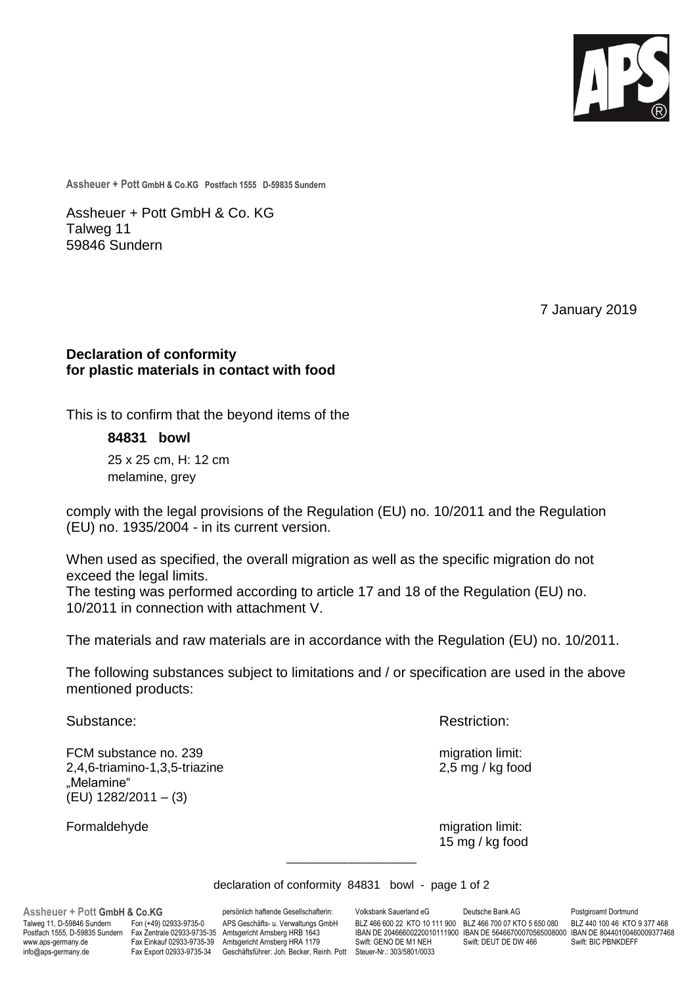

**Assheuer + Pott GmbH & Co.KG Postfach 1555 D-59835 Sundern**

Assheuer + Pott GmbH & Co. KG Talweg 11 59846 Sundern

7 January 2019

## **Declaration of conformity for plastic materials in contact with food**

This is to confirm that the beyond items of the

**84831 bowl** 25 x 25 cm, H: 12 cm

melamine, grey

comply with the legal provisions of the Regulation (EU) no. 10/2011 and the Regulation (EU) no. 1935/2004 - in its current version.

When used as specified, the overall migration as well as the specific migration do not exceed the legal limits.

The testing was performed according to article 17 and 18 of the Regulation (EU) no. 10/2011 in connection with attachment V.

The materials and raw materials are in accordance with the Regulation (EU) no. 10/2011.

The following substances subject to limitations and / or specification are used in the above mentioned products:

FCM substance no. 239 migration limit: 2,4,6-triamino-1,3,5-triazine 2,5 mg / kg food "Melamine" (EU) 1282/2011 – (3)

Substance: **Restriction: Restriction: Restriction:** 

Formaldehyde migration limit: 15 mg / kg food

declaration of conformity 84831 bowl - page 1 of 2

\_\_\_\_\_\_\_\_\_\_\_\_\_\_\_\_\_\_\_\_

www.aps-germany.de Fax Einkauf 02933-9735-39 Amtsgericht Arnsberg HRA 1179<br>http: Geschäftsführer: Joh. Becker, Rehner GENO DET FRAMINGERFFFFERENDER FRAMINGERFFFERE

**Assheuer + Pott GmbH & Co.KG** persönlich haftende Gesellschafterin: Volksbank Sauerland eG Deutsche Bank AG Postgiroamt Dortmund<br>Talweg 11, D-59846 Sundern Fon (+49) 02933-9735-0 APS Geschäfts- u. Verwaltungs GmbH BLZ 466 Talweg 11, D-59846 Sundern Fon (+49) 02933-9735-0 APS Geschäfts- u. Verwaltungs GmbH BLZ 466 600 22 KTO 10 111 900 BLZ 466 700 07 KTO 5 650 080<br>Postfach 1555, D-59835 Sundern Fax Zentrale 02933-9735-35 Amtsgericht Arnsberg Postfach 1555, D-59835 Sundern Fax Zentrale 02933-9735-35 Amtsgericht Arnsberg HRB 1643 IBAN DE 20466600220010111900 IBAN DE 56466700070565008000 IBAN DE 80440100460009377468<br>www.aps-germany.de Fax Einkauf 02933-9735-39 Am info@aps-germany.de Fax Export 02933-9735-34 Geschäftsführer: Joh. Becker, Reinh. Pott Steuer-Nr.: 303/5801/0033